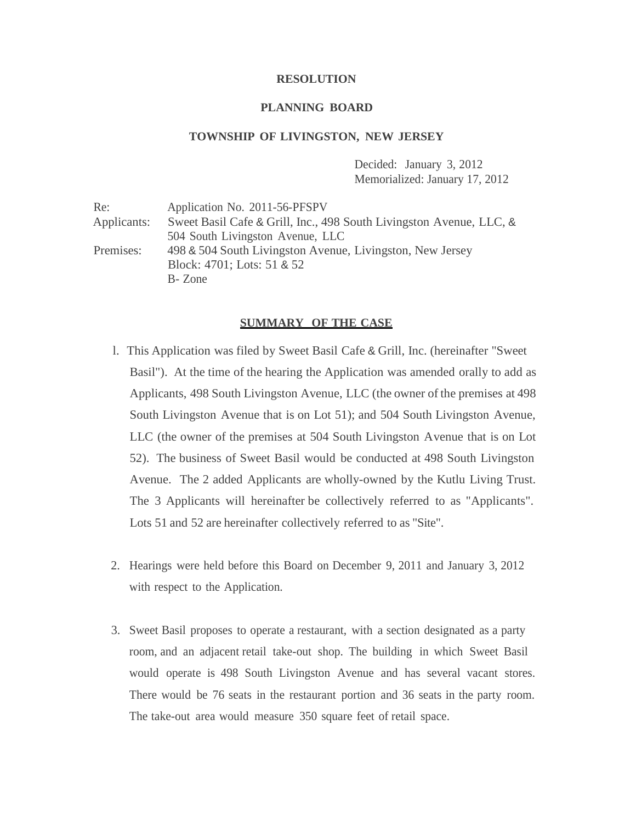#### **RESOLUTION**

#### **PLANNING BOARD**

#### **TOWNSHIP OF LIVINGSTON, NEW JERSEY**

Decided: January 3, 2012 Memorialized: January 17, 2012

Re: Application No. 2011-56-PFSPV Applicants: Sweet Basil Cafe & Grill, Inc., 498 South Livingston Avenue, LLC, & 504 South Livingston Avenue, LLC Premises: 498 & 504 South Livingston Avenue, Livingston, New Jersey Block: 4701; Lots: 51 & 52 B- Zone

# **SUMMARY OF THE CASE**

- l. This Application was filed by Sweet Basil Cafe & Grill, Inc. (hereinafter "Sweet Basil"). At the time of the hearing the Application was amended orally to add as Applicants, 498 South Livingston Avenue, LLC (the owner of the premises at 498 South Livingston Avenue that is on Lot 51); and 504 South Livingston Avenue, LLC (the owner of the premises at 504 South Livingston Avenue that is on Lot 52). The business of Sweet Basil would be conducted at 498 South Livingston Avenue. The 2 added Applicants are wholly-owned by the Kutlu Living Trust. The 3 Applicants will hereinafter be collectively referred to as "Applicants". Lots 51 and 52 are hereinafter collectively referred to as "Site".
- 2. Hearings were held before this Board on December 9, 2011 and January 3, 2012 with respect to the Application.
- 3. Sweet Basil proposes to operate a restaurant, with a section designated as a party room, and an adjacent retail take-out shop. The building in which Sweet Basil would operate is 498 South Livingston Avenue and has several vacant stores. There would be 76 seats in the restaurant portion and 36 seats in the party room. The take-out area would measure 350 square feet of retail space.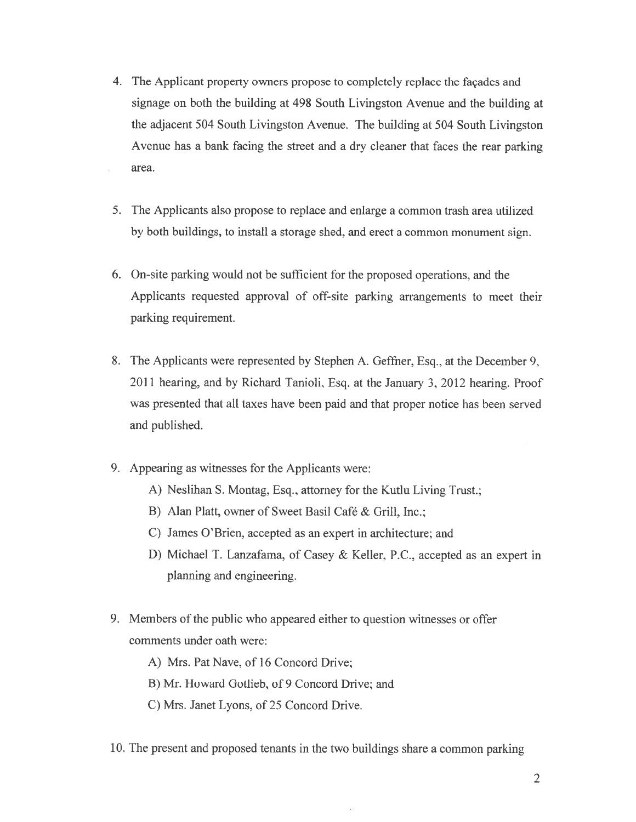- 4. The Applicant property owners propose to completely replace the façades and signage on both the building at 498 South Livingston Avenue and the building at the adjacent 504 South Livingston Avenue. The building at 504 South Livingston Avenue has <sup>a</sup> bank facing the street and <sup>a</sup> dry cleaner that faces the rear parking area.
- 5. The Applicants also propose to replace and enlarge <sup>a</sup> common trash area utilized by both buildings, to install <sup>a</sup> storage shed, and erect <sup>a</sup> common monument sign.
- 6. On-site parking would not be sufficient for the proposed operations, and the Applicants requested approval of off-site parking arrangements to meet their parking requirement.
- 8. The Applicants were represented by Stephen A. Geffner, Esq., at the December 9. 2011 hearing, and by Richard Tanioli, Esq. at the January 3, 2012 hearing. Proof was presented that all taxes have been paid and that proper notice has been served and published.
- 9. Appearing as witnesses for the Applicants were:
	- A) Neslihan S. Montag, Esq., attorney for the Kutlu Living Trust.;
	- B) Alan Platt, owner of Sweet Basil Café & Grill, Inc.;
	- C) James O'Brien, accepted as an expert in architecture; and
	- D) Michael T. Lanzafama, of Casey & Keller, P.C., accepted as an exper<sup>t</sup> in planning and engineering.
- 9. Members of the public who appeared either to question witnesses or offer comments under oath were:
	- A) Mrs. Pat Nave, of 16 Concord Drive

B) Mr. Howard Gotlieb, of 9 Concord Drive; and

- C) Mrs. Janet Lyons, of 25 Concord Drive.
- 10. The presen<sup>t</sup> and proposed tenants in the two buildings share <sup>a</sup> common parking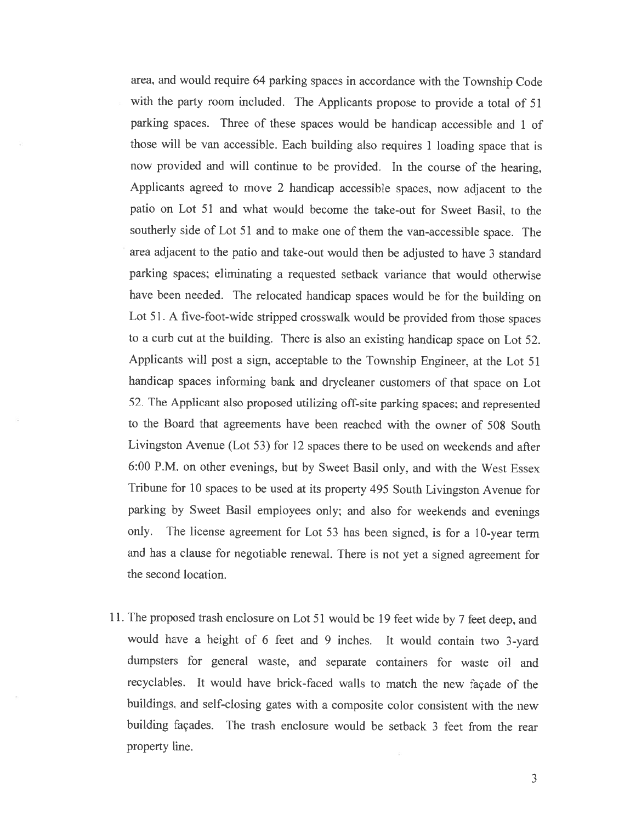area, and would require <sup>64</sup> parking spaces in accordance with the Township Code with the party room included. The Applicants propose to provide <sup>a</sup> total of <sup>51</sup> parking spaces. Three of these spaces would be handicap accessible and <sup>1</sup> of those will he van accessible. Each building also requires <sup>1</sup> loading space that is now provided and will continue to be provided. In the course of the hearing, Applicants agreed to move <sup>2</sup> handicap accessible spaces, now adjacent to the patio on Lot 51 and what would become the take-out for Sweet Basil, to the southerly side of Lot <sup>51</sup> and to make one of them the van-accessible space. The area adjacent to the patio and take-out would then be adjusted to have <sup>3</sup> standard parking spaces; eliminating <sup>a</sup> requested setback variance that would otherwise have been needed. The relocated handicap spaces would be for the building on Lot 51. <sup>A</sup> five-foot-wide stripped crosswalk would be provided from those spaces to <sup>a</sup> curb cut at the building. There is also an existing handicap space on Lot 52. Applicants will post <sup>a</sup> sign, acceptable to the Township Engineer, at the Lot <sup>51</sup> handicap spaces informing hank and drycleaner customers of that space on Lot 52. The Applicant also proposed utilizing off-site parking spaces; and represented to the Board that agreements have been reached with the owner of 508 South Livingston Avenue (Lot 53) for <sup>12</sup> spaces there to be used on weekends and after 6:00 P.M. on other evenings, but by Sweet Basil only, and with the West Essex Tribune for <sup>10</sup> spaces to be used at its property <sup>495</sup> South Livingston Avenue for parking by Sweet Basil employees only; and also for weekends and evenings only. The license agreement for Lot <sup>53</sup> has been signed, is for <sup>a</sup> 10-year term and has <sup>a</sup> clause for negotiable renewal. There is not yet <sup>a</sup> signed agreement for the second location.

11. The proposed trash enclosure on Lot <sup>51</sup> would be <sup>19</sup> feet wide by <sup>7</sup> feet deep, and would have <sup>a</sup> height of <sup>6</sup> feet and <sup>9</sup> inches. It would contain two 3-yard dumpsters for general waste, and separate containers for waste oil and recyclables. It would have brick-faced walls to match the new façade of the buildings, and self-closing gates with <sup>a</sup> composite color consistent with the new building façades. The trash enclosure would be setback 3 feet from the rear property line.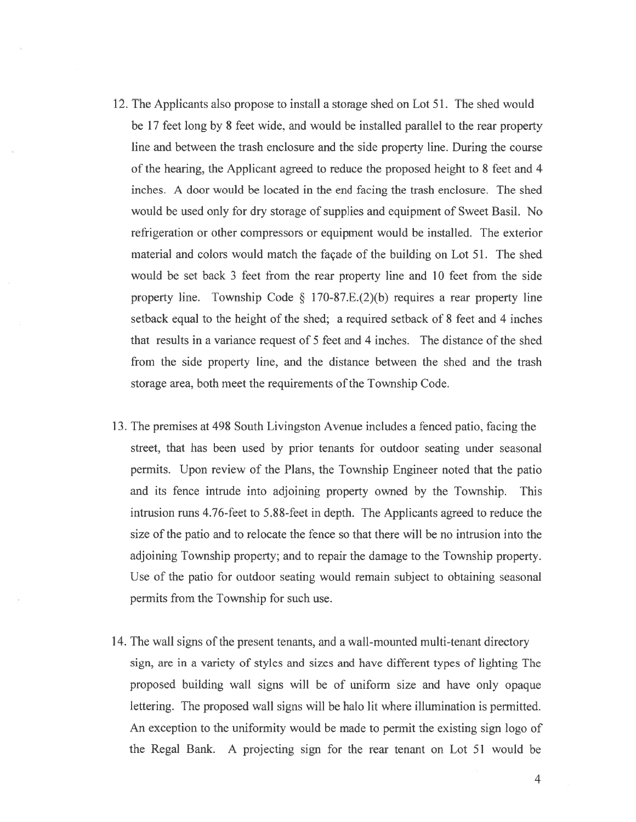- 12. The Applicants also propose to install <sup>a</sup> storage shed on Lot 51. The shed would be 17 feet long by 8 feet wide, and would be installed parallel to the rear property line and between the trash enclosure and the side property line. During the course of the hearing, the Applicant agreed to reduce the proposed height to 8 feet and 4 inches. A door would be located in the end facing the trash enclosure. The shed would be used oniy for dry storage of supplies and equipment of Sweet Basil. No refrigeration or other compressors or equipment would be installed. The exterior material and colors would match the façade of the building on Lot 51. The shed would he set back 3 feet from the rear property line and 10 feet from the side property line. Township Code  $\S$  170-87.E.(2)(b) requires a rear property line setback equal to the height of the shed; <sup>a</sup> required setback of 8 feet and 4 inches that results in <sup>a</sup> variance reques<sup>t</sup> of 5 feet and 4 inches. The distance of the shed from the side property line, and the distance between the shed and the trash storage area, both meet the requirements of the Township Code.
- 13. The premises at 498 South Livingston Avenue includes <sup>a</sup> fenced patio, facing the street, that has been used by prior tenants for outdoor seating under seasonal permits. Upon review of the Plans, the Township Engineer noted that the patio and its fence intrude into adjoining property owned by the Township. This intrusion runs 4.76-feet to 5.88-feet in depth. The Applicants agreed to reduce the size of the patio and to relocate the fence so that there will be no intrusion into the adjoining Township property; and to repair the damage to the Township property. Use of the patio for outdoor seating would remain subject to obtaining seasonal permits from the Township for such use.
- 14. The wall signs of the presen<sup>t</sup> tenants, and <sup>a</sup> wall-mounted multi-tenant directory sign, are in <sup>a</sup> variety of styles and sizes and have different types of lighting The proposed building wall signs will be of uniform size and have only opaque lettering. The proposed wall signs will be halo lit where illumination is permitted. An exception to the uniformity would be made to permit the existing sign logo of the Regal Bank. A projecting sign for the rear tenant on Lot 51 would be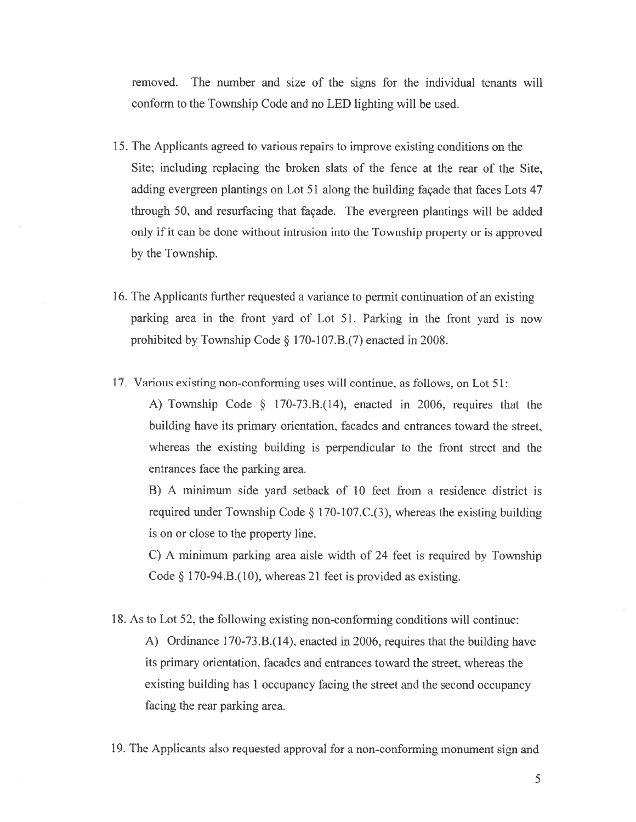removed. The number and size of the signs for the individual tenants will conform to the Township Code and no LED lighting will be used.

- 15. The Applicants agreed to various repairs to improve existing conditions on the Site; including replacing the broken slats of the fence at the rear of the Site, adding evergreen plantings on Lot 51 along the building façade that faces Lots 47 through 50, and resurfacing that façade. The evergreen plantings will be added only if it can be done without intrusion into the Township property or is approved by the Township.
- 16. The Applicants further requested <sup>a</sup> variance to permit continuation of an existing parking area in the front yard of Lot 51. Parking in the front yard is now prohibited by Township Code § 170-107.B.(7) enacted in 2008.
- 17. Various existing non-conforming uses will continue, as follows, on Lot 51:

A) Township Code § 170-73.B.(14), enacted in 2006, requires that the building have its primary orientation, facades and entrances toward the street, whereas the existing building is perpendicular to the front street and the entrances face the parking area.

B) A minimum side yard setback of 10 feet from a residence district is required under Township Code § 170-107.C.(3), whereas the existing building is on or close to the property line.

C) <sup>A</sup> minimum parking area aisle width of <sup>24</sup> feet is required by Township Code  $\S 170-94.B.(10)$ , whereas 21 feet is provided as existing.

18. As to Lot 52, the following existing non-conforming conditions will continue:

A) Ordinance 170-73.B. (14), enacted in 2006, requires that the building have its primary orientation, facades and entrances toward the street, whereas the existing building has <sup>1</sup> occupancy facing the street and the second occupancy facing the rear parking area.

19. The Applicants also requested approva<sup>l</sup> for <sup>a</sup> non-conforming monument sign and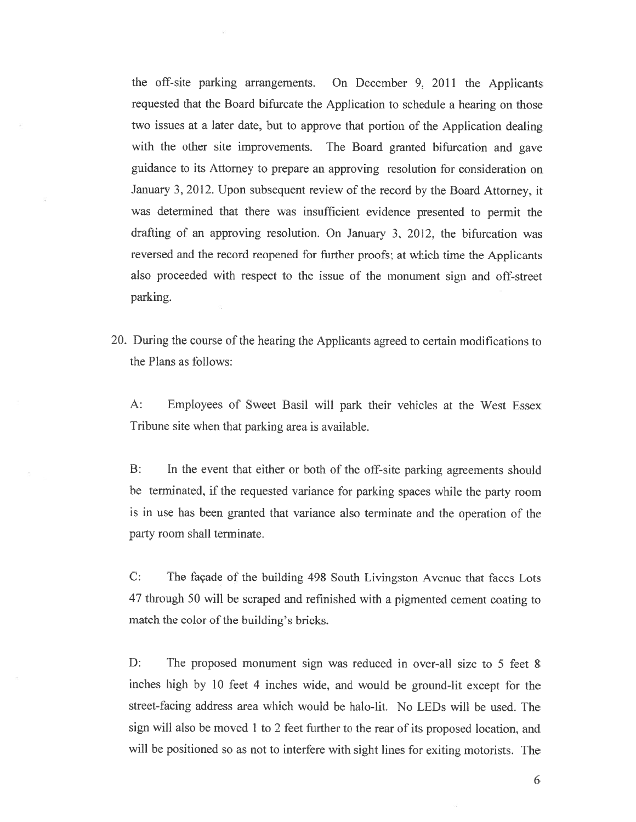the ofi-site parking arrangements. On December 9, <sup>2011</sup> the Applicants requested that the Board bifurcate the Application to schedule <sup>a</sup> hearing on those two issues at a later date, but to approve that portion of the Application dealing. with the other site improvements. The Board granted bifurcation and gave guidance to its Attorney to prepare an approving resolution for consideration on January 3, 2012. Upon subsequent review of the record by the Board Attorney, it was determined that there was insufficient evidence presented to permit the drafting of an approving resolution. On January 3, 2012, the bifurcation was reversed and the record reopene<sup>d</sup> for further proofs; at which time the Applicants also proceeded with respect to the issue of the monument sign and off-street parking.

20. During the course of the hearing the Applicants agreed to certain modifications to the Plans as follows:

A: Employees of Sweet Basil will park their vehicles at the West Essex Tribune site when that parking area is available.

B: In the event that either or both of the off-site parking agreements should he terminated, if the requested variance for parking spaces while the party room is in use has been granted that variance also terminate and the operation of the party room shall terminate,

C: The façade of the building 498 South Livingston Avenue that faces Lots <sup>47</sup> through <sup>50</sup> will be scrape<sup>d</sup> and refinished with <sup>a</sup> <sup>p</sup>igmented cement coating to match the color of the building's bricks.

D: The proposed monument sign was reduced in over-all size to 5 feet 8 inches high by <sup>10</sup> feet <sup>4</sup> inches wide, and would be ground-lit excep<sup>t</sup> for the street-facing address area which would be halo-lit. No LEDs will be used. The sign will also be moved <sup>1</sup> to <sup>2</sup> feet further to the rear of its propose<sup>d</sup> location, and will be positioned so as not to interfere with sight lines for exiting motorists. The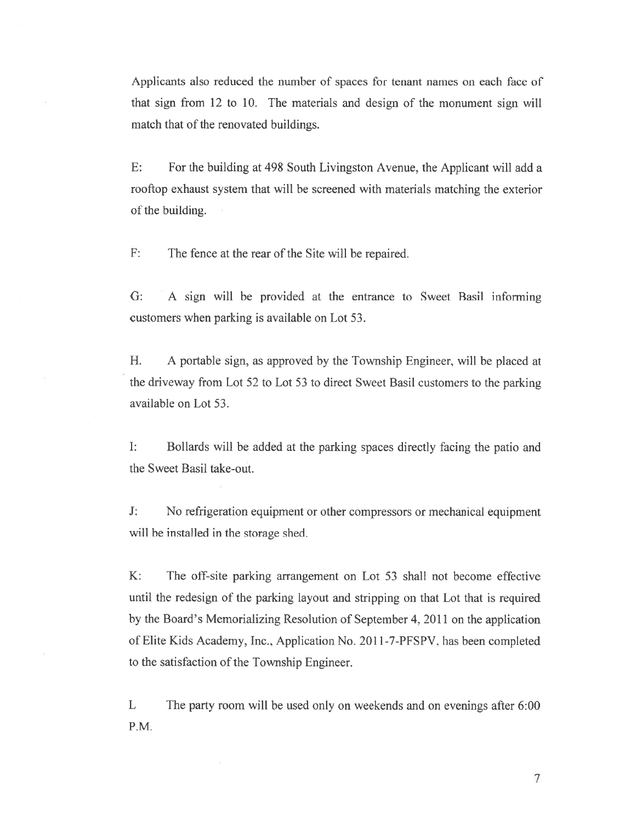Applicants also reduced the number of spaces for tenant names on each face of that sign from 12 to 10. The materials and design of the monument sign will match that of the renovated buildings.

E: For the building at 498 South Livingston Avenue, the Applicant will add <sup>a</sup> rooftop exhaust system that will he screened with materials matching the exterior of the building.

F: The fence at the rear of the Site will be repaired.

G: A sign will be provided at the entrance to Sweet Basil informing customers when parking is available on Lot 53.

H. A portable sign, as approved by the Township Engineer, will be placed at the driveway from Lot 52 to Lot 53 to direct Sweet Basil customers to the parking available on Lot 53.

I: Bollards will he added at the parking spaces directly facing the patio and the Sweet Basil take-out.

J: No refrigeration equipment or other compressors or mechanical equipment will be installed in the storage shed.

K: The off-site parking arrangemen<sup>t</sup> on Lot 53 shall not become effective until the redesign of the parking layout and stripping on that Lot that is required by the Board's Memorializing Resolution of September 4, 2011 on the application of Elite Kids Academy. Inc., Application No. 2011-7-PFSPV. has been completed to the satisfaction of the Township Engineer.

L The party room will be used only on weekends and on evenings after 6:00 P.M.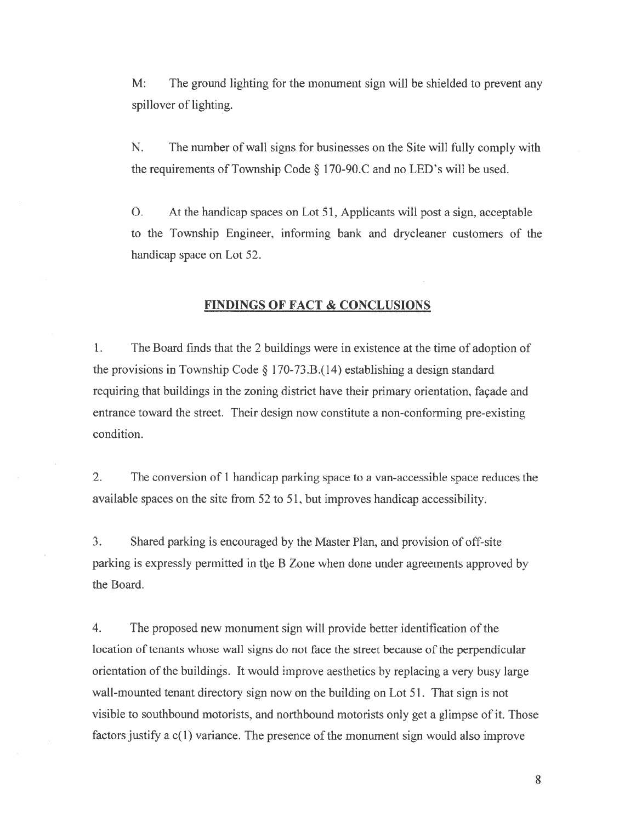M: The ground lighting for the monument sign will be shielded to preven<sup>t</sup> any spillover of lighting.

N. The number of wall signs for businesses on the Site will fully comply with the requirements of Township Code  $\S$  170-90.C and no LED's will be used.

0. At the handicap spaces on Lot 51, Applicants will pos<sup>t</sup> <sup>a</sup> sign, acceptable to the Township Engineer, informing bank and drvcleaner customers of the handicap space on Lot 52.

## FINDINGS OF FACT & CONCLUSIONS

1. The Board finds that the 2 buildings were in existence at the time of adoption of the provisions in Township Code  $\S 170-73.B.(14)$  establishing a design standard requiring that buildings in the zoning district have their primary orientation, façade and entrance toward the street. Their design now constitute <sup>a</sup> non-conforming pre-existing condition.

2. The conversion of 1 handicap parking space to <sup>a</sup> van-accessible space reduces the available spaces on the site from 52 to 51, but improves handicap accessibility.

3. Shared parking is encouraged by the Master Plan, and provision of off-site parking is expressly permitted in tbe B Zone when done under agreements approved by the Board.

4. The proposed new monument sign will provide better identification of the location of tenants whose wall signs do not face the street because of the perpendicular orientation of the buildings. It would improve aesthetics by replacing <sup>a</sup> very busy large wall-mounted tenant directory sign now on the building on Lot 51. That sign is not visible to southbound motorists, and northbound motorists only ge<sup>t</sup> <sup>a</sup> <sup>g</sup>limpse of it. Those factors justify a  $c(1)$  variance. The presence of the monument sign would also improve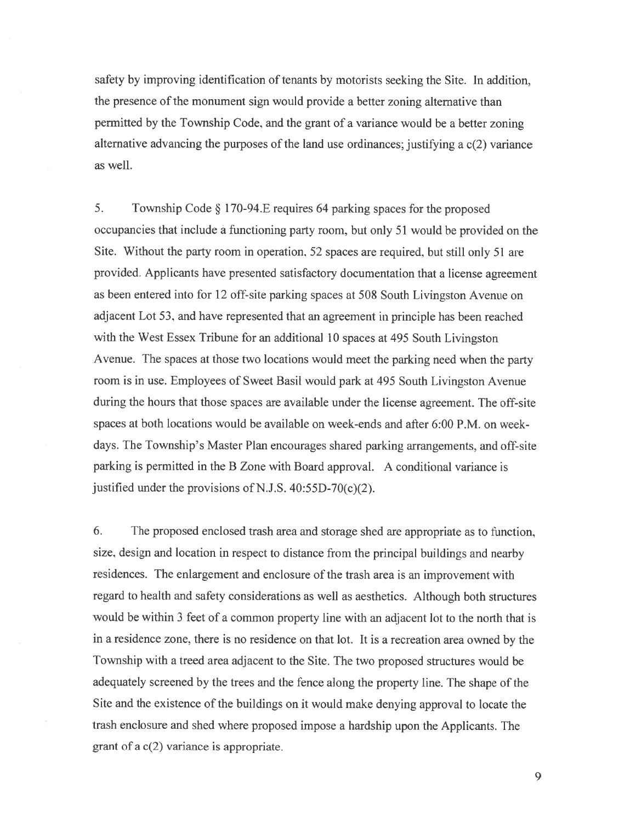safety by improving identification of tenants by motorists seeking the Site. In addition, the presence of the monument sign would provide <sup>a</sup> better zoning alternative than permitted by the Township Code, and the gran<sup>t</sup> of <sup>a</sup> variance would be <sup>a</sup> better zoning alternative advancing the purposes of the land use ordinances; justifying <sup>a</sup> c(2) variance as well.

5. Township Code § 170-94.E requires <sup>64</sup> parking spaces for the propose<sup>d</sup> occupancies that include <sup>a</sup> functioning party room, but only 51 would be provided on the Site. Without the party room in operation, 52 spaces are required, but still only 51 are provided. Applicants have presented satisfactory documentation that <sup>a</sup> license agreemen<sup>t</sup> as been entered into for <sup>12</sup> off-site parking spaces at 508 South Livingston Avenue on adjacent Lot 53, and have represented that an agreemen<sup>t</sup> in principle has been reached with the West Essex Tribune for an additional 10 spaces at 495 South Livingston Avenue. The spaces at those two locations would meet the parking need when the party room is in use. Employees of Sweet Basil would park at 495 South Livingston Avenue during the hours that those spaces are available under the license agreement. The off-site spaces at both locations would be available on week-ends and after 6:00 P.M. on week days. The Township's Master Plan encourages shared parking arrangements, and off-site parking is permitted in the <sup>B</sup> Zone with Board approval. A conditional variance is justified under the provisions of N.J.S.  $40:55D-70(c)(2)$ .

6. The proposed enclosed trash area and storage shed are appropriate as to function, size, design and location in respec<sup>t</sup> to distance from the principal buildings and nearby residences. The enlargement and enclosure of the trash area is an improvement with regar<sup>d</sup> to health and safety considerations as well as aesthetics. Although both structures would be within 3 feet of <sup>a</sup> common property line with an adjacent lot to the north that is in <sup>a</sup> residence zone. there is no residence on that lot. it is <sup>a</sup> recreation area owned by the Township with <sup>a</sup> treed area adjacent to the Site. The two proposed structures would be adequately screened by the trees and the fence along the property line. The shape of the Site and the existence of the buildings on it would make denying approva<sup>l</sup> to locate the trash enclosure and shed where proposed impose <sup>a</sup> hardship upon the Applicants. The gran<sup>t</sup> of <sup>a</sup> c(2) variance is appropriate.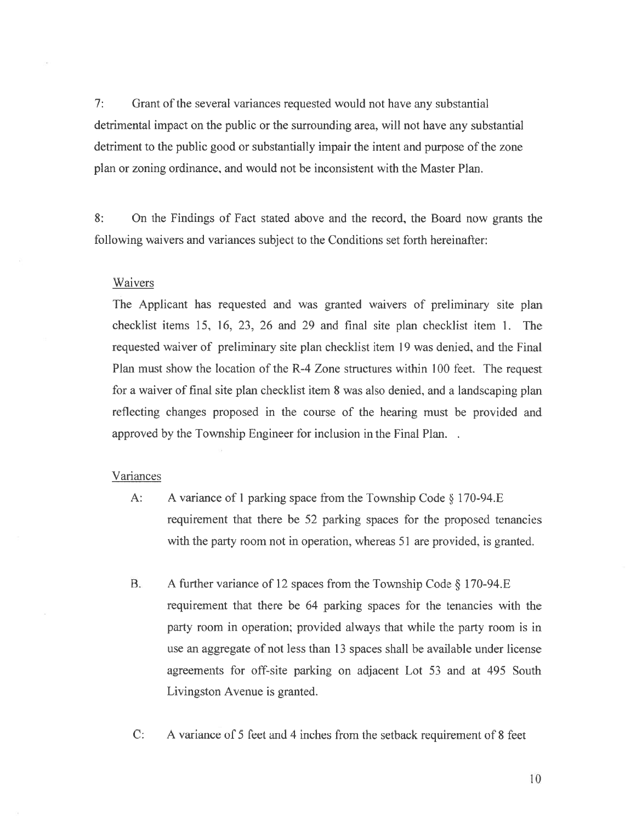7: Grant of the several variances requested would not have any substantial detrimental impact on the public or the surrounding area, will not have any substantial detriment to the public good or substantially impair the intent and purpose of the zone plan or zoning ordinance, and would not he inconsistent with the Master Plan.

8: On the Findings of Fact stated above and the record, the Board now grants the following waivers and variances subject to the Conditions set forth hereinafter:

#### Waivers

The Applicant has requested and was granted waivers of preliminary site plan checklist items 15, 16, 23, 26 and 29 and final site plan checklist item 1. The requested waiver of preliminary site plan checklist item 19 was denied, and the Final Plan must show the location of the R-4 Zone structures within 100 feet. The reques<sup>t</sup> for <sup>a</sup> waiver of final site plan checklist item 8 was also denied, and <sup>a</sup> landscaping plan reflecting changes proposed in the course of the hearing must be provided and approved by the Township Engineer for inclusion in the Final Plan...

#### Variances

- A: A variance of 1 parking space from the Township Code § 170-94.E requirement that there be 52 parking spaces for the proposed tenancies with the party room not in operation, whereas 51 are provided, is granted.
- B. A further variance of 12 spaces from the Township Code  $\S 170-94.E$ requirement that there be 64 parking spaces for the tenancies with the party room in operation; provided always that while the party room is in use an aggregate of not less than 13 spaces shall be available under license agreements for off-site parking on adjacent Lot 53 and at 495 South Livingston Avenue is granted.

C: A variance of 5 feet and 4 inches from the setback requirement of 8 feet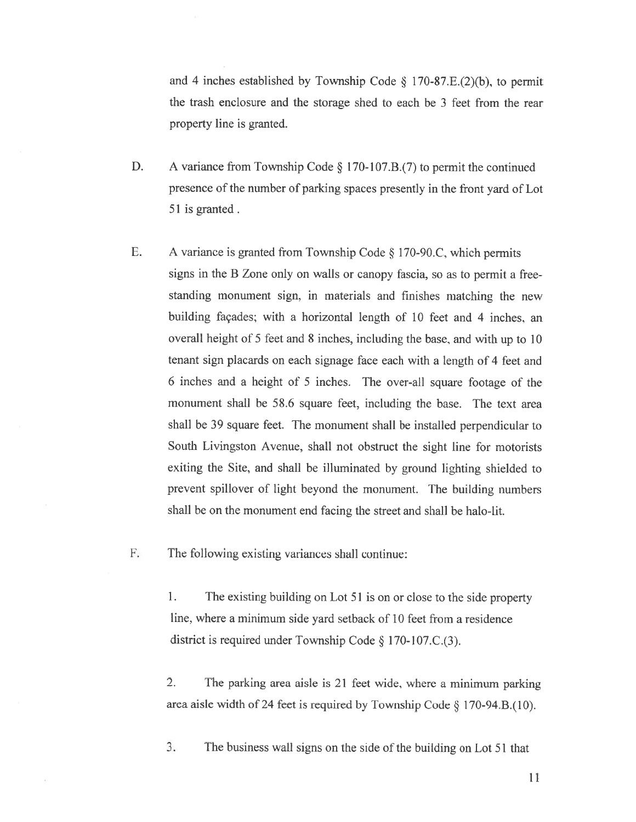and 4 inches established by Township Code  $\S$  170-87.E.(2)(b), to permit the trash enclosure and the storage shed to each be 3 feet from the rear property line is granted.

- D. A variance from Township Code § 170-107.B.(7) to permit the continued presence of the number of parking spaces presently in the front yard of Lot 51 is granted.
- E. <sup>A</sup> variance is granted from Township Code § <sup>1</sup> 70-90.C, which permits signs in the <sup>B</sup> Zone only on walls or canopy fascia, so as to permit <sup>a</sup> free standing monument sign, in materials and finishes matching the new building façades; with a horizontal length of 10 feet and 4 inches, an overall height of <sup>5</sup> feet and <sup>8</sup> inches, including the base, and with up to <sup>10</sup> tenant sign placards on each signage face each with <sup>a</sup> length of 4 feet and <sup>6</sup> inches and <sup>a</sup> height of <sup>5</sup> inches. The over-all square footage of the monument shall be 58.6 square feet, including the base. The text area shall be 39 square feet. The monument shall he installed perpendicular to South Livingston Avenue. shall not obstruct the sight line for motorists exiting the Site, and shall be illuminated by ground lighting shielded to prevent spillover of light beyond the monument. The building numbers shall be on the monument end facing the street and shall be halo-lit.

F. The following existing variances shall continue:

1. The existing building on Lot 51 is on or close to the side property line. where <sup>a</sup> minimum side yard setback of 10 feet from <sup>a</sup> residence district is required under Township Code § 170-107.C.(3).

2. The parking area aisle is <sup>21</sup> feet wide, where <sup>a</sup> minimum parking area aisle width of <sup>24</sup> feet is required by Township Code § 170-94.B.(lO).

3. The business wall signs on the side of the building on Lot 51 that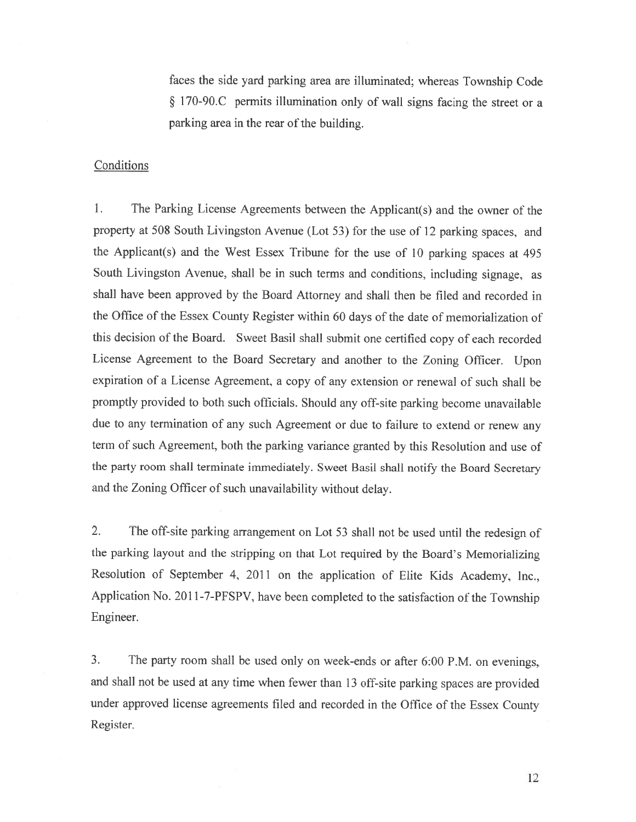faces the side yard parking area are illuminated; whereas Township Code § 170-90.C permits illumination only of wall signs facing the street or a parking area in the rear of the building.

## **Conditions**

1. The Parking License Agreements between the Applicant(s) and the owner of the property at <sup>508</sup> South Livingston Avenue (Lot 53) for the use of <sup>12</sup> parking spaces, and the Applicant(s) and the West Essex Tribune for the use of <sup>10</sup> parking spaces at <sup>495</sup> South Livingston Avenue, shall be in such terms and conditions, including signage, as shall have been approved by the Board Attorney and shall then be filed and recorded in the Office of the Essex County Register within <sup>60</sup> days of the date of memorialization of this decision of the Board. Sweet Basil shall submit one certified copy of each recorded License Agreement to the Board Secretary and another to the Zoning Officer. Upon expiration of <sup>a</sup> License Agreement, <sup>a</sup> copy of any extension or renewal of such shall be promptly provided to both such officials. Should any off-site parking become unavailable due to any termination of any such Agreement or due to failure to extend or renew any term of such Agreement, both the parking variance granted by this Resolution and use of the party room shall terminate immediately. Sweet Basil shall notify the Board Secretary and the Zoning Officer of such unavailability without delay.

2. The off-site parking arrangement on Lot <sup>53</sup> shall not be used until the redesign of the parking layout and the stripping on that Lot required by the Board's Memorializing Resolution of September 4, <sup>2011</sup> on the application of Elite Kids Academy. Inc., Application No. <sup>201</sup> 1-7-PFSPV, have been completed to the satisfaction of the Township Engineer.

3. The party room shall be used only on week-ends or after 6:00 P.M. on evenings, and shall not be used at any time when fewer than <sup>13</sup> off-site parking spaces are provided under approved license agreements filed and recorded in the Office of the Essex County Register.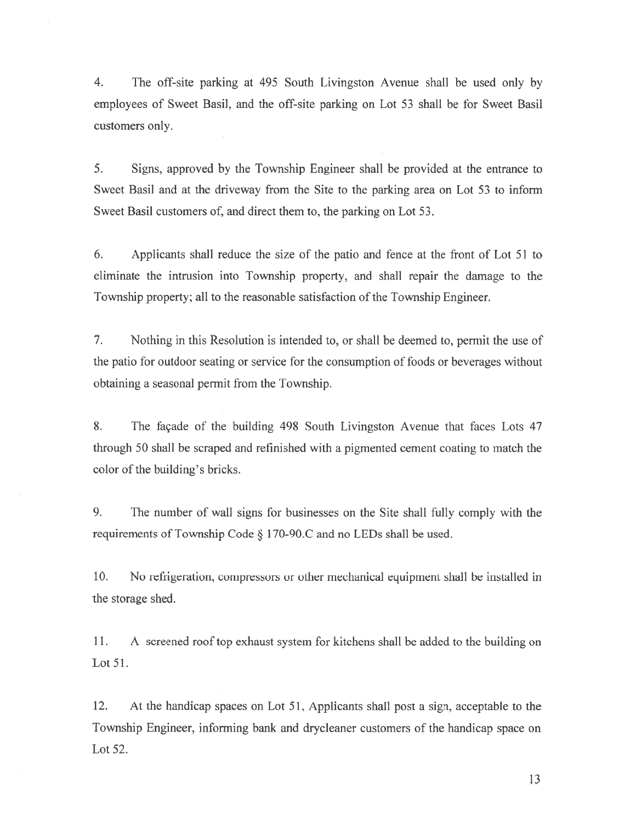4. The off-site parking at 495 South Livingston Avenue shall he used only by employees of Sweet Basil, and the off-site parking on Lot 53 shall be for Sweet Basil customers only.

5. Signs, approved by the Township Engineer shall be provided at the entrance to Sweet Basil and at the driveway from the Site to the parking area on Lot 53 to inform Sweet Basil customers of, and direct them to, the parking on Lot 53.

6. Applicants shall reduce the size of the patio and fence at the front of Lot 51 to eliminate the intrusion into Township property, and shall repair the damage to the Township property; all to the reasonable satisfaction of the Township Engineer.

7. Nothing in this Resolution is intended to, or shall he deemed to, permit the use of the patio for outdoor seating or service for the consumption of foods or beverages without obtaining <sup>a</sup> seasonal permit from the Township.

8. The façade of the building 498 South Livingston Avenue that faces Lots 47 through 50 shall be scraped and refinished with <sup>a</sup> pigmented cement coating to match the color of the building's bricks.

9. The number of wall signs for businesses on the Site shall fully comply with the requirements of Township Code § <sup>1</sup> 70-90.C and no LEDs shall he used.

10. No refrigeration, compressors or other mechanical equipment shall be installed in the storage shed.

11. A screened roof top exhaust system for kitchens shall be added to the building on Lot 51.

12. At the handicap spaces on Lot 51, Applicants shall pos<sup>t</sup> <sup>a</sup> sign, acceptable to the Township Engineer, informing bank and drycleaner customers of the handicap space on Lot 52.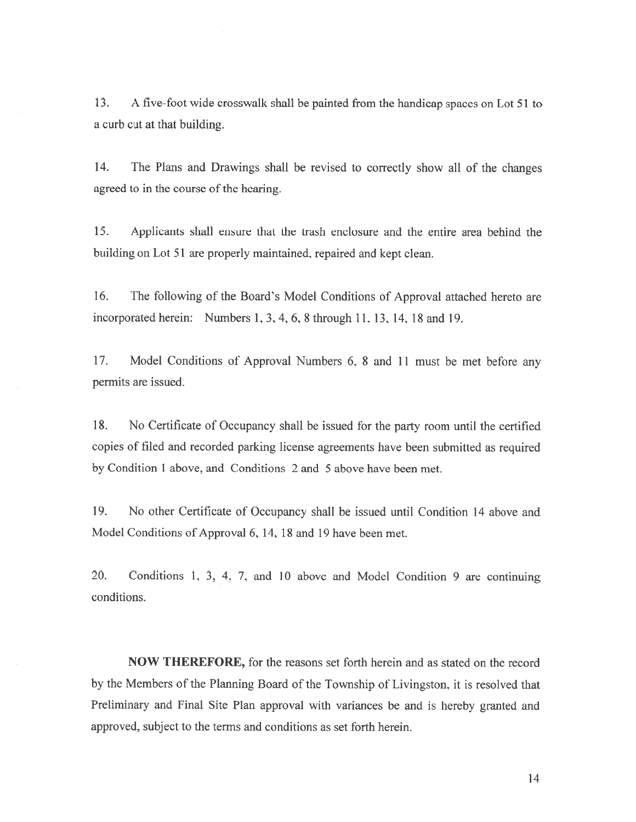13. A five-foot wide crosswalk shall be painted from the handicap spaces on Lot 51 to <sup>a</sup> curb cut at that building.

14. The Plans and Drawings shall be revised to correctly show all of the changes agreed to in the course of the hearing.

15. Applicants shall ensure that the trash enclosure and the entire area behind the building on Lot 51 are properly maintained, repaired and kept clean.

16. The following of the Board's Model Conditions of Approval attached hereto are incorporated herein: Numbers 1, 3. 4, 6, 8 through 11, 13, 14, 18 and 19.

17. Model Conditions of Approval Numbers 6, <sup>8</sup> and <sup>11</sup> must be met before any permits are issued.

18. No Certificate of Occupancy shall he issued for the party room until the certified copies of filed and recorded parking license agreements have been submitted as required by Condition I above, and Conditions 2 and 5 above have been met.

19. No other Certificate of Occupancy shall be issued until Condition 14 above and Model Conditions of Approval 6, 14, 18 and 19 have been met.

20. Conditions 1, 3, 4, 7, and <sup>10</sup> above and Model Condition <sup>9</sup> are continuing conditions.

NOW THEREFORE, for the reasons set forth herein and as stated on the record by the Members of the Planning Board of the Township of Livingston, it is resolved that Preliminary and Final Site Plan approval with variances be and is hereby granted and approved, subject to the terms and conditions as set forth herein.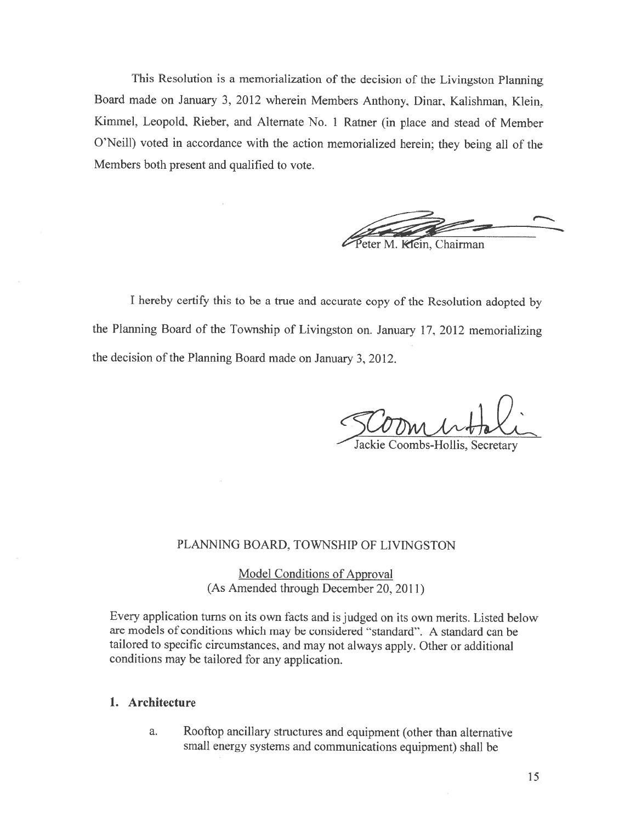This Resolution is <sup>a</sup> memorialization of the decision of the Livingston Planning Board made on January 3, <sup>2012</sup> wherein Members Anthony, Dinar, Kalishman, Klein, Kimmel, Leopold, Rieber, and Alternate No. <sup>1</sup> Ratner (in <sup>p</sup>lace and stead of Member O'Neill) voted in accordance with the action memorialized herein; they being all of the Members both present and qualified to vote.



<sup>I</sup> hereby certify this to he <sup>a</sup> true and accurate copy of the Resolution adopted by the Planning Board of the Township of Livingston on. January 17, <sup>2012</sup> memorializing the decision of the Planning Board made on January 3, 2012.

Jackie Coombs-Hollis, Secretary

#### PLANNING BOARD. TOWNSHIP OF LIVINGSTON

Model Conditions of Approval (As Amended through December 20, 2011)

Every application turns on its own facts and is judged on its own merits. Listed below are models of conditions which may be considered "standard". <sup>A</sup> standard can he tailored to specific circumstances, and may not always apply. Other or additional conditions may be tailored for any application.

#### 1. Architecture

a. Rooftop ancillary structures and equipment (other than alternative small energy systems and communications equipment) shall be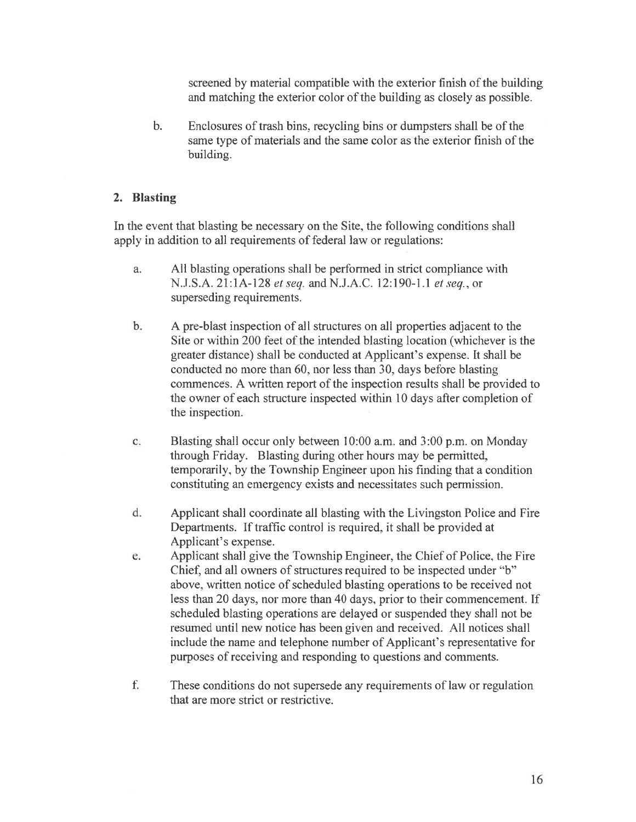screened by material compatible with the exterior finish of the building and matching the exterior color of the building as closely as possible.

b. Enclosures of trash bins, recycling bins or dumpsters shall be of the same type of materials and the same color as the exterior finish of the building.

### 2. Blasting

In the event that blasting be necessary on the Site, the following conditions shall apply in addition to all requirements of federal law or regulations:

- a. All blasting operations shall be performed in strict compliance with N.J.S.A. 21:1A-128 et seq. and N.J.A.C. 12:190-1.1 et seq., or superseding requirements.
- b. A pre-blast inspection of all structures on all properties adjacent to the Site or within 200 feet of the intended blasting location (whichever is the greater distance) shall be conducted at Applicant's expense. It shall be conducted no more than 60, nor less than 30, days before blasting commences. A written repor<sup>t</sup> of the inspection results shall be provided to the owner of each structure inspected within 10 days after completion of the inspection.
- c. Blasting shall occur only between 10:00 a.m. and 3:00 p.m. on Monday through Friday. Blasting during other hours may be permitted, temporarily, by the Township Engineer upon his finding that <sup>a</sup> condition constituting an emergency exists and necessitates such permission.
- d. Applicant shall coordinate all blasting with the Livingston Police and Fire Departments. If traffic control is required, it shall he provided at Applicant's expense.
- e. Applicant shall give the Township Engineer, the Chief of Police, the Fire Chief, and all owners of structures required to be inspected under 'b" above, written notice of scheduled blasting operations to be received not less than 20 days, nor more than 40 days, prior to their commencement. If scheduled blasting operations are delayed or suspended they shall not be resumed until new notice has been given and received. All notices shall include the name and telephone number of Applicant's representative for purposes of receiving and responding to questions and comments.
- f. These conditions do not supersede any requirements of law or regulation that are more strict or restrictive.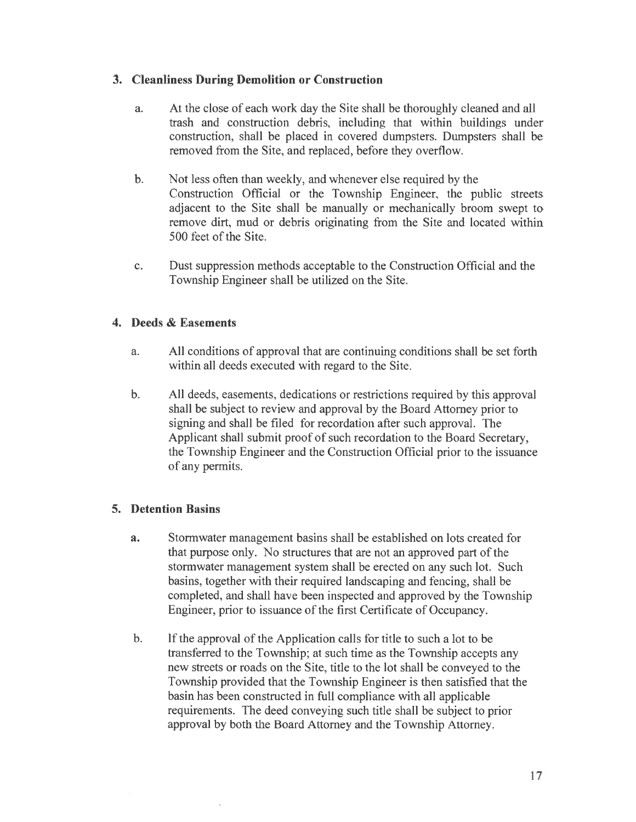# 3. Cleanliness During Demolition or Construction

- a. At the close of each work day the Site shall be thoroughly cleaned and all trash and construction debris, including that within buildings under construction, shall be placed in covered dumpsters. Dumpsters shall be removed from the Site, and replaced, before they overflow.
- b. Not less often than weekly, and whenever else required by the Construction Official or the Township Engineer, the public streets adjacent to the Site shall be manually or mechanically broom swep<sup>t</sup> to remove dirt, mud or debris originating from the Site and located within 500 feet of the Site.
- c. Dust suppression methods acceptable to the Construction Official and the Township Engineer shall he utilized on the Site.

# 4, Deeds & Easements

- a. All conditions of approval that are continuing conditions shall be set forth within all deeds executed with regard to the Site.
- b. All deeds, easements, dedications or restrictions required by this approval shall be subject to review and approval by the Board Attorney prior to signing and shall be filed for recordation after such approval. The Applicant shall submit proof of such recordation to the Board Secretary, the Township Engineer and the Construction Official prior to the issuance of any permits.

## 5. Detention Basins

- a. Stormwater managemen<sup>t</sup> basins shall he established on lots created for that purpose only. No structures that are not an approved part of the stormwater managemen<sup>t</sup> system shall be erected on any such lot. Such basins, together with their required landscaping and fencing, shall be completed, and shall have been inspected and approved by the Township Engineer, prior to issuance of the first Certificate of Occupancy.
- b. If the approval of the Application calls for title to such a lot to be transferred to the Township; at such time as the Township accepts any new streets or roads on the Site, title to the lot shall he conveyed to the Township provided that the Township Engineer is then satisfied that the basin has been constructed in full compliance with all applicable requirements. The deed conveying such title shall be subject to prior approval by both the Board Attorney and the Township Attorney.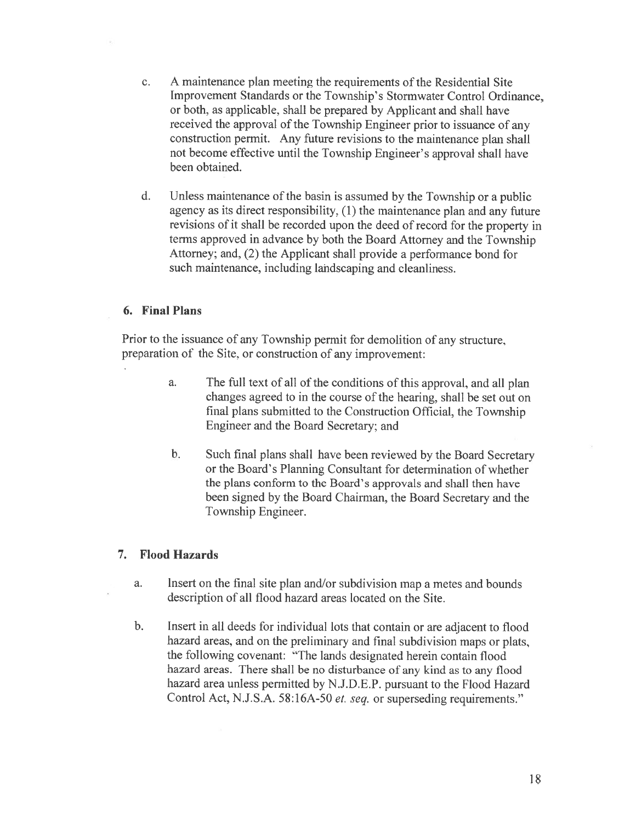- c. A maintenance plan meeting the requirements of the Residential Site Improvement Standards or the Township's Stormwater Control Ordinance, or both, as applicable, shall be prepared by Applicant and shall have received the approva<sup>l</sup> of the Township Engineer prior to issuance of any construction permit. Any future revisions to the maintenance <sup>p</sup>lan shall not become effective until the Township Engineer's approval shall have been obtained.
- d. Unless maintenance of the basin is assumed by the Township or a public agency as its direct responsibility, (1) the maintenance <sup>p</sup>lan and any future revisions of it shall be recorded upon the deed of record for the property in terms approved in advance by both the Board Attorney and the Township Attorney; and, (2) the Applicant shall provide <sup>a</sup> performance bond for such maintenance, including landscaping and cleanliness.

## 6. Final Plans

Prior to the issuance of any Township permit for demolition of any structure, preparation of the Site, or construction of any improvement:

- a. The full text of all of the conditions of this approval, and all <sup>p</sup>lan changes agreed to in the course of the hearing, shall he set out on final <sup>p</sup>lans submitted to the Construction Official, the Township Engineer and the Board Secretary; and
- b. Such final <sup>p</sup>lans shall have been reviewed by the Board Secretary or the Board's Planning Consultant for determination of whether the plans conform to the Board's approvals and shall then have been signed by the Board Chairman, the Board Secretary and the Township Engineer.

## 7. Flood Hazards

- a. Insert on the final site plan and/or subdivision map a metes and bounds description of all flood hazard areas located on the Site.
- h. Insert in all deeds for individual lots that contain or are adjacent to flood hazard areas, and on the preliminary and final subdivision maps or <sup>p</sup>lats, the following covenant: "The lands designated herein contain flood hazard areas. There shall be no disturbance of any kind as to any flood hazard area unless permitted by N.J.D.E.P. pursuant to the Flood Hazard Control Act, N.J.S.A. 58:16A-50 et. seq. or superseding requirements."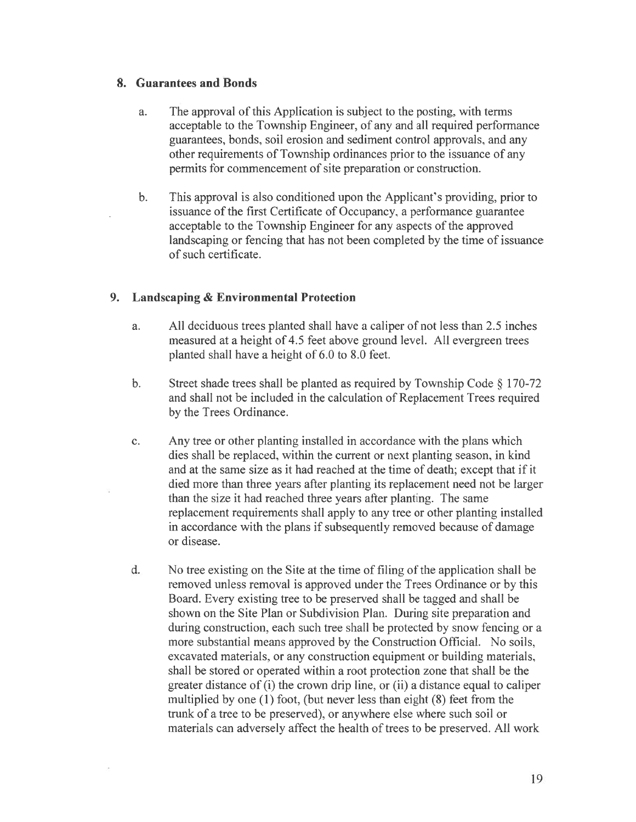## 8. Guarantees and Bonds

- a. The approval of this Application is subject to the posting, with terms acceptable to the Township Engineer, of any and all required performance guarantees, bonds, soil erosion and sediment control approvals, and any other requirements of Township ordinances prior to the issuance of any permits for commencement of site preparation or construction.
- b. This approval is also conditioned upon the Applicant's providing, prior to issuance of the first Certificate of Occupancy, <sup>a</sup> performance guarantee acceptable to the Township Engineer for any aspects of the approved landscaping or fencing that has not been completed by the time of issuance of such certificate.

## 9. Landscaping & Environmental Protection

- a. All deciduous trees planted shall have <sup>a</sup> caliper of not less than 2.5 inches measured at <sup>a</sup> height of 4.5 feet above ground level. All evergreen trees planted shall have <sup>a</sup> height of 6.0 to 8.0 feet.
- b. Street shade trees shall be planted as required by Township Code  $\S$  170-72 and shall not be included in the calculation of Replacement Trees required by the Trees Ordinance.
- c. Any tree or other planting installed in accordance with the plans which dies shall be replaced. within the current or next planting season, in kind and at the same size as it had reached at the time of death; excep<sup>t</sup> that if it died more than three years after planting its replacement need not he larger than the size it had reached three years after planting. The same replacement requirements shall apply to any tree or other planting installed in accordance with the plans if subsequently removed because of damage or disease.
- d. No tree existing on the Site at the time of filing of the application shall be removed unless removal is approved under the Trees Ordinance or by this Board. Every existing tree to be preserved shall be tagged and shall be shown on the Site Plan or Subdivision Plan. During site preparation and during construction, each such tree shall he protected by snow fencing or <sup>a</sup> more substantial means approved by the Construction Official. No soils, excavated materials, or any construction equipment or building materials, shall be stored or operated within <sup>a</sup> root protection zone that shall be the greater distance of (i) the crown drip line, or (ii) <sup>a</sup> distance equal to caliper multiplied by one (1) foot, (but never less than eight (8) feet from the trunk of <sup>a</sup> tree to be preserved), or anywhere else where such soil or materials can adversely affect the health of trees to be preserved. All work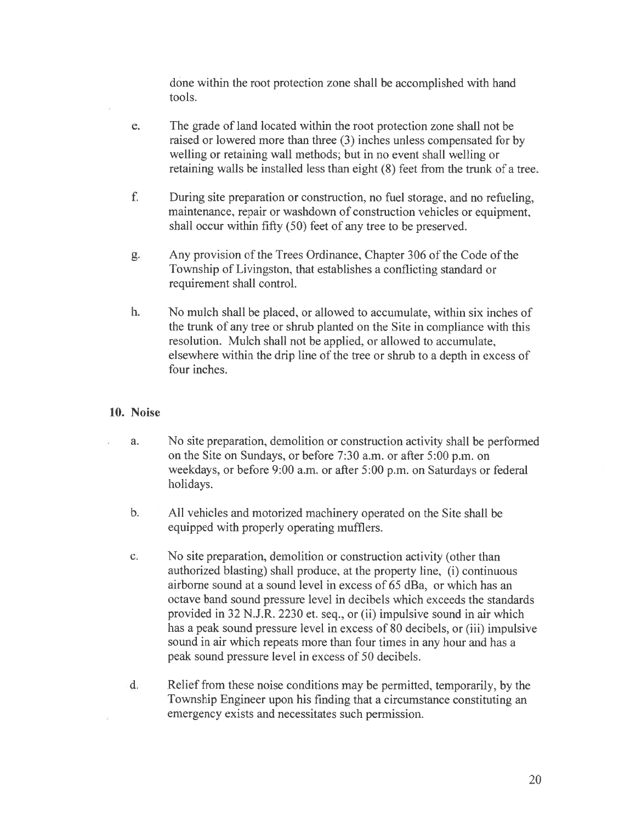done within the root protection zone shall be accomplished with hand tools.

- e, The grade of land located within the root protection zone shall not be raised or lowered more than three (3) inches unless compensated for by welling or retaining wall methods; but in no event shall welling or retaining walls he installed less than eight (8) feet from the trunk of <sup>a</sup> tree.
- f. During site preparation or construction, no fuel storage, and no refueling, maintenance, repair or washdown of construction vehicles or equipment. shall occur within fifty (50) feet of any tree to be preserved.
- g. Any provision of the Trees Ordinance, Chapter 306 of the Code of the Township of Livingston, that establishes <sup>a</sup> conflicting standard or requirement shall control.
- h. No mulch shall he placed, or allowed to accumulate, within six inches of the trunk of any tree or shrub planted on the Site in compliance with this resolution. Mulch shall not be applied, or allowed to accumulate, elsewhere within the drip line of the tree or shrub to <sup>a</sup> depth in excess of four inches.

## 10. Noise

- a. No site preparation, demolition or construction activity shall be performed on the Site on Sundays, or before 7:30 a.m. or after 5:00 p.m. on weekdays, or before 9:00 a.m. or after 5:00 p.m. on Saturdays or federal holidays.
	- b. All vehicles and motorized machinery operated on the Site shall be equipped with properly operating mufflers.
	- c. No site preparation, demolition or construction activity (other than authorized blasting) shall produce, at the property line, (i) continuous airborne sound at <sup>a</sup> sound level in excess of 65 dBa, or which has an octave band sound pressure level in decibels which exceeds the standards provided in 32 NJ.R. 2230 et. seq., or (ii) impulsive sound in air which has <sup>a</sup> peak sound pressure level in excess of 80 decibels, or (iii) impulsive sound in air which repeats more than four times in any hour and has <sup>a</sup> peak sound pressure level in excess of 50 decibels.
	- d. Relief from these noise conditions may be permitted, temporarily, by the Township Engineer upon his finding that <sup>a</sup> circumstance constituting an emergency exists and necessitates such permission.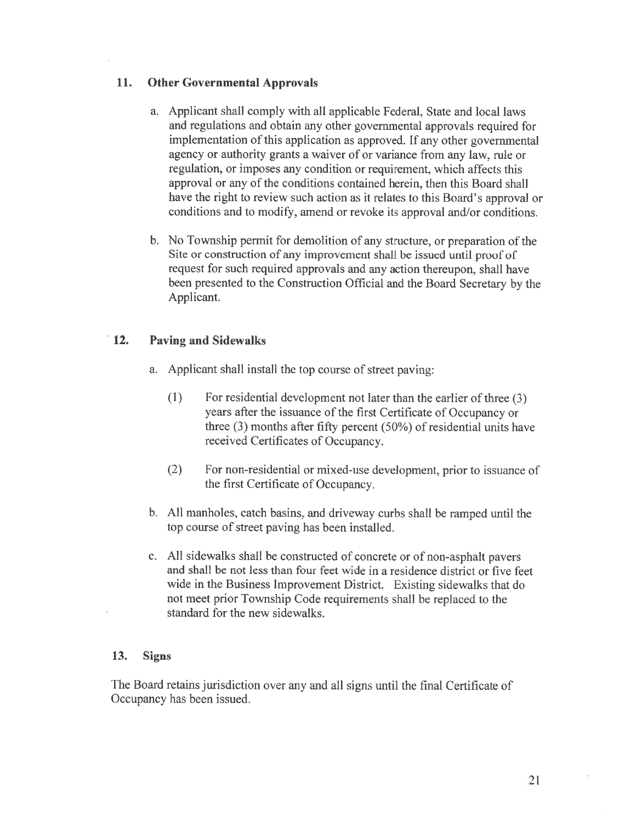# 11. Other Governmental Approvals

- a. Applicant shall comply with all applicable Federal, State and local laws and regulations and obtain any other governmental approvals required for implementation of this application as approved. If any other governmental agency or authority grants <sup>a</sup> waiver of or variance from any law, rule or regulation, or imposes any condition or requirement. which affects this approval or any of the conditions contained herein, then this Board shall have the right to review such action as it relates to this Board's approval or conditions and to modify, amend or revoke its approval and/or conditions.
- b. No Township permit for demolition of any structure, or preparation of the Site or construction of any improvement shall be issued until proo<sup>f</sup> of reques<sup>t</sup> for such required approvals and any action thereupon, shall have been presented to the Construction Official and the Board Secretary by the Applicant.

# 12. Paving and Sidewalks

- a. Applicant shall install the top course of street paving:
	- (1) For residential development not later than the earlier of three (3) years after the issuance of the first Certificate of Occupancy or three (3) months after fifty percen<sup>t</sup> (50%) of residential units have received Certificates of Occupancy.
	- (2) For non-residential or mixed-use development, prior to issuance of the first Certificate of Occupancy.
- b. All manholes, catch basins, and driveway curbs shall be ramped until the top course of street paving has been installed.
- c. All sidewalks shall be constructed of concrete or of non-asphalt payers and shall be not less than four feet wide in <sup>a</sup> residence district or five feet wide in the Business Improvement District. Existing sidewalks that do not meet prior Township Code requirements shall be replaced to the standard for the new sidewalks.

## 13. Signs

The Board retains jurisdiction over any and all signs until the final Certificate of Occupancy has been issued.

 $\bar{\mathcal{R}}$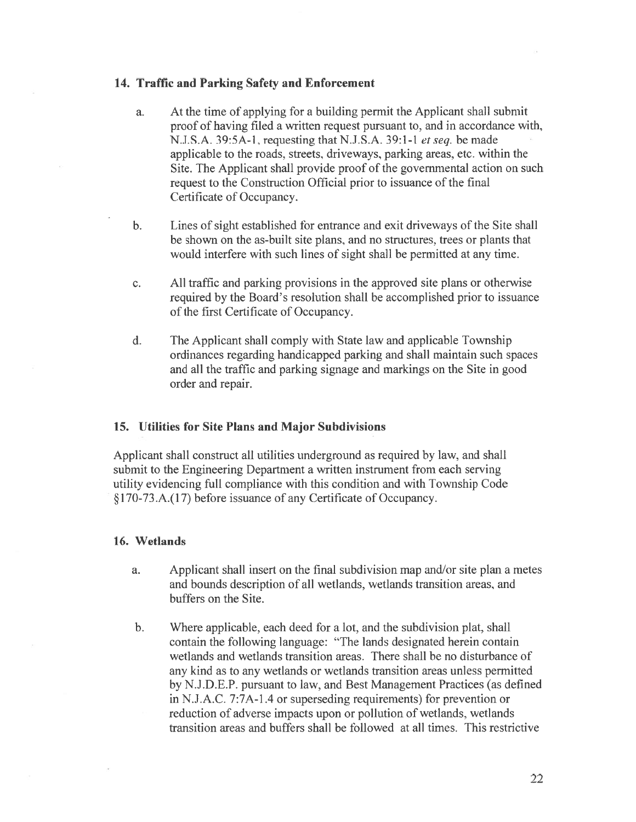#### 14. Traffic and Parking Safety and Enforcement

- a. At the time of applying for <sup>a</sup> building permit the Applicant shall submit proof of having filed <sup>a</sup> written reques<sup>t</sup> pursuan<sup>t</sup> to, and in accordance with, N,J.S.A. 39:5A-l, requesting that N.J.S.A. 39:1-1 et seq. be made applicable to the roads, streets, driveways, parking areas, etc. within the Site. The Applicant shall provide proof of the governmental action on such request to the Construction Official prior to issuance of the final Certificate of Occupancy.
- b. Lines of sight established for entrance and exit driveways of the Site shall be shown on the as-built site plans, and no structures, trees or plants that would interfere with such lines of sight shall he permitted at any time.
- c. All traffic and parking provisions in the approved site plans or otherwise required by the Board's resolution shall be accomplished prior to issuance of the first Certificate of Occupancy.
- d. The Applicant shall comply with State law and applicable Township ordinances regarding handicapped parking and shall maintain such spaces and all the traffic and parking. signage and markings on the Site in good order and repair.

## 15. Utilities for Site Plans and Major Subdivisions

Applicant shall construct all utilities underground as required by law, and shall submit to the Engineering Department <sup>a</sup> written instrument from each serving utility evidencing full compliance with this condition and with Township Code §l70-73.A.(17) before issuance of any Certificate of Occupancy.

#### 16. Wetlands

- a. Applicant shall insert on the final subdivision map and/or site plan a metes and bounds description of all wetlands. wetlands transition areas, and buffers on the Site.
- b. Where applicable, each deed for <sup>a</sup> lot, and the subdivision plat, shall contain the following language: "The lands designated herein contain wetlands and wetlands transition areas. There shall be no disturbance of any kind as to any wetlands or wetlands transition areas unless permitted by N.J.D.E.P. pursuan<sup>t</sup> to law. and Best Management Practices (as defined in N.J.A.C. 7:7A-l .4 or superseding requirements) for prevention or reduction of adverse impacts upon or pollution of wetlands, wetlands transition areas and buffers shall be followed at all times. This restrictive